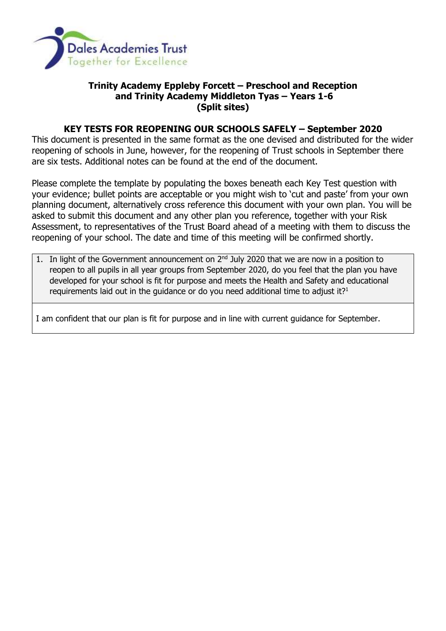

## **Trinity Academy Eppleby Forcett – Preschool and Reception and Trinity Academy Middleton Tyas – Years 1-6 (Split sites)**

## **KEY TESTS FOR REOPENING OUR SCHOOLS SAFELY – September 2020**

This document is presented in the same format as the one devised and distributed for the wider reopening of schools in June, however, for the reopening of Trust schools in September there are six tests. Additional notes can be found at the end of the document.

Please complete the template by populating the boxes beneath each Key Test question with your evidence; bullet points are acceptable or you might wish to 'cut and paste' from your own planning document, alternatively cross reference this document with your own plan. You will be asked to submit this document and any other plan you reference, together with your Risk Assessment, to representatives of the Trust Board ahead of a meeting with them to discuss the reopening of your school. The date and time of this meeting will be confirmed shortly.

1. In light of the Government announcement on  $2<sup>nd</sup>$  July 2020 that we are now in a position to reopen to all pupils in all year groups from September 2020, do you feel that the plan you have developed for your school is fit for purpose and meets the Health and Safety and educational requirements laid out in the quidance or do you need additional time to adjust it? $1$ 

I am confident that our plan is fit for purpose and in line with current guidance for September.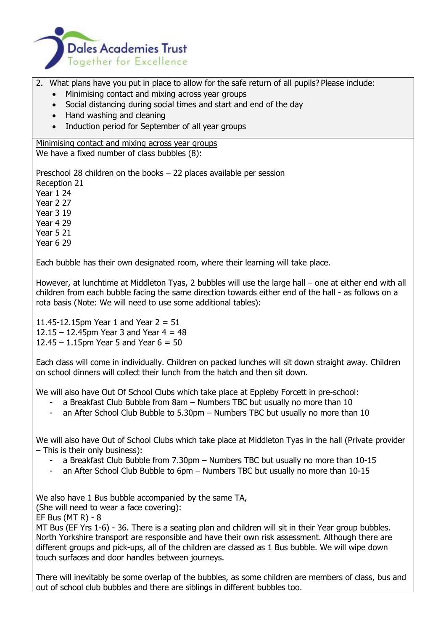

- 2. What plans have you put in place to allow for the safe return of all pupils? Please include:
	- Minimising contact and mixing across year groups
	- Social distancing during social times and start and end of the day
	- Hand washing and cleaning
	- Induction period for September of all year groups

Minimising contact and mixing across year groups We have a fixed number of class bubbles (8):

Preschool 28 children on the books – 22 places available per session Reception 21 Year 1 24 Year 2 27 Year 3 19 Year 4 29

Year 5 21

Year 6 29

Each bubble has their own designated room, where their learning will take place.

However, at lunchtime at Middleton Tyas, 2 bubbles will use the large hall – one at either end with all children from each bubble facing the same direction towards either end of the hall - as follows on a rota basis (Note: We will need to use some additional tables):

11.45-12.15pm Year 1 and Year  $2 = 51$ 12.15 – 12.45pm Year 3 and Year  $4 = 48$ 12.45 – 1.15pm Year 5 and Year  $6 = 50$ 

Each class will come in individually. Children on packed lunches will sit down straight away. Children on school dinners will collect their lunch from the hatch and then sit down.

We will also have Out Of School Clubs which take place at Eppleby Forcett in pre-school:

- a Breakfast Club Bubble from 8am Numbers TBC but usually no more than 10
- an After School Club Bubble to 5.30pm Numbers TBC but usually no more than 10

We will also have Out of School Clubs which take place at Middleton Tyas in the hall (Private provider – This is their only business):

- a Breakfast Club Bubble from 7.30pm Numbers TBC but usually no more than 10-15
- an After School Club Bubble to 6pm Numbers TBC but usually no more than 10-15

We also have 1 Bus bubble accompanied by the same TA,

(She will need to wear a face covering):

EF Bus (MT R) - 8

MT Bus (EF Yrs 1-6) - 36. There is a seating plan and children will sit in their Year group bubbles. North Yorkshire transport are responsible and have their own risk assessment. Although there are different groups and pick-ups, all of the children are classed as 1 Bus bubble. We will wipe down touch surfaces and door handles between journeys.

There will inevitably be some overlap of the bubbles, as some children are members of class, bus and out of school club bubbles and there are siblings in different bubbles too.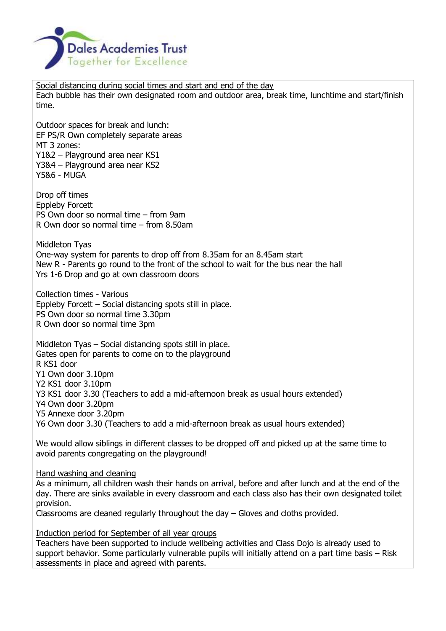

Social distancing during social times and start and end of the day Each bubble has their own designated room and outdoor area, break time, lunchtime and start/finish time.

Outdoor spaces for break and lunch: EF PS/R Own completely separate areas MT 3 zones: Y1&2 – Playground area near KS1 Y3&4 – Playground area near KS2 Y5&6 - MUGA

Drop off times Eppleby Forcett PS Own door so normal time – from 9am R Own door so normal time – from 8.50am

Middleton Tyas One-way system for parents to drop off from 8.35am for an 8.45am start New R - Parents go round to the front of the school to wait for the bus near the hall Yrs 1-6 Drop and go at own classroom doors

Collection times - Various Eppleby Forcett – Social distancing spots still in place. PS Own door so normal time 3.30pm R Own door so normal time 3pm

Middleton Tyas – Social distancing spots still in place. Gates open for parents to come on to the playground R KS1 door Y1 Own door 3.10pm Y2 KS1 door 3.10pm Y3 KS1 door 3.30 (Teachers to add a mid-afternoon break as usual hours extended) Y4 Own door 3.20pm Y5 Annexe door 3.20pm Y6 Own door 3.30 (Teachers to add a mid-afternoon break as usual hours extended)

We would allow siblings in different classes to be dropped off and picked up at the same time to avoid parents congregating on the playground!

Hand washing and cleaning

As a minimum, all children wash their hands on arrival, before and after lunch and at the end of the day. There are sinks available in every classroom and each class also has their own designated toilet provision.

Classrooms are cleaned regularly throughout the day – Gloves and cloths provided.

Induction period for September of all year groups

Teachers have been supported to include wellbeing activities and Class Dojo is already used to support behavior. Some particularly vulnerable pupils will initially attend on a part time basis – Risk assessments in place and agreed with parents.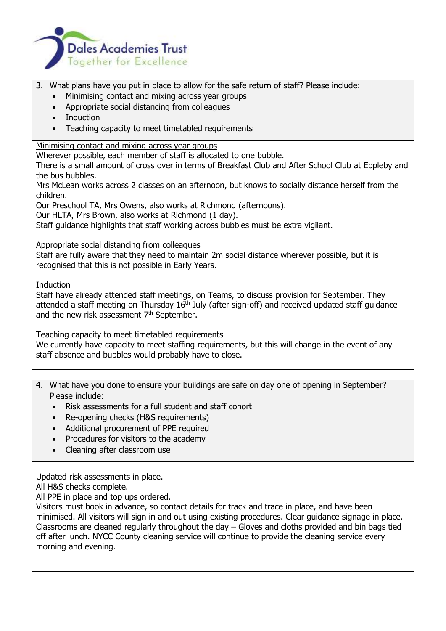

- 3. What plans have you put in place to allow for the safe return of staff? Please include:
	- Minimising contact and mixing across year groups
	- Appropriate social distancing from colleagues
	- Induction
	- Teaching capacity to meet timetabled requirements

Minimising contact and mixing across year groups

Wherever possible, each member of staff is allocated to one bubble.

There is a small amount of cross over in terms of Breakfast Club and After School Club at Eppleby and the bus bubbles.

Mrs McLean works across 2 classes on an afternoon, but knows to socially distance herself from the children.

Our Preschool TA, Mrs Owens, also works at Richmond (afternoons).

Our HLTA, Mrs Brown, also works at Richmond (1 day).

Staff guidance highlights that staff working across bubbles must be extra vigilant.

## Appropriate social distancing from colleagues

Staff are fully aware that they need to maintain 2m social distance wherever possible, but it is recognised that this is not possible in Early Years.

Induction

Staff have already attended staff meetings, on Teams, to discuss provision for September. They attended a staff meeting on Thursday 16<sup>th</sup> July (after sign-off) and received updated staff guidance and the new risk assessment 7<sup>th</sup> September.

## Teaching capacity to meet timetabled requirements

We currently have capacity to meet staffing requirements, but this will change in the event of any staff absence and bubbles would probably have to close.

- 4. What have you done to ensure your buildings are safe on day one of opening in September? Please include:
	- Risk assessments for a full student and staff cohort
	- Re-opening checks (H&S requirements)
	- Additional procurement of PPE required
	- Procedures for visitors to the academy
	- Cleaning after classroom use

Updated risk assessments in place.

All H&S checks complete.

All PPE in place and top ups ordered.

Visitors must book in advance, so contact details for track and trace in place, and have been minimised. All visitors will sign in and out using existing procedures. Clear guidance signage in place. Classrooms are cleaned regularly throughout the day – Gloves and cloths provided and bin bags tied off after lunch. NYCC County cleaning service will continue to provide the cleaning service every morning and evening.